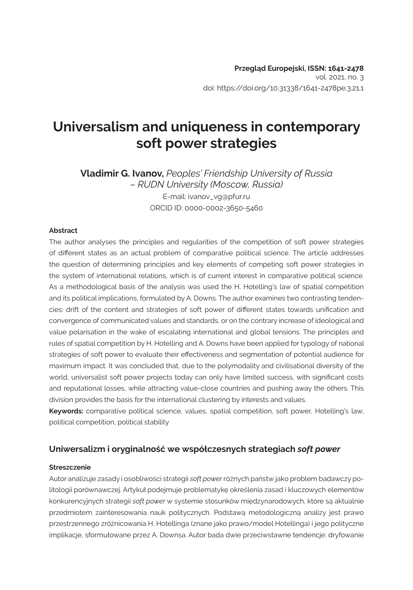# **Universalism and uniqueness in contemporary soft power strategies**

**Vladimir G. Ivanov,** *Peoples' Friendship University of Russia – RUDN University (Moscow, Russia)* E-mail: ivanov\_vg@pfur.ru ORCID ID: 0000-0002-3650-5460

#### **Abstract**

The author analyses the principles and regularities of the competition of soft power strategies of different states as an actual problem of comparative political science. The article addresses the question of determining principles and key elements of competing soft power strategies in the system of international relations, which is of current interest in comparative political science. As a methodological basis of the analysis was used the H. Hotelling's law of spatial competition and its political implications, formulated by A. Downs. The author examines two contrasting tendencies: drift of the content and strategies of soft power of different states towards unification and convergence of communicated values and standards, or on the contrary increase of ideological and value polarisation in the wake of escalating international and global tensions. The principles and rules of spatial competition by H. Hotelling and A. Downs have been applied for typology of national strategies of soft power to evaluate their effectiveness and segmentation of potential audience for maximum impact. It was concluded that, due to the polymodality and civilisational diversity of the world, universalist soft power projects today can only have limited success, with significant costs and reputational losses, while attracting value-close countries and pushing away the others. This division provides the basis for the international clustering by interests and values.

**Keywords:** comparative political science, values, spatial competition, soft power, Hotelling's law, political competition, political stability

## **Uniwersalizm i oryginalność we współczesnych strategiach** *soft power*

#### **Streszczenie**

Autor analizuje zasady i osobliwości strategii *soft power* różnych państw jako problem badawczy politologii porównawczej. Artykuł podejmuje problematykę określenia zasad i kluczowych elementów konkurencyjnych strategii *soft power* w systemie stosunków międzynarodowych, które są aktualnie przedmiotem zainteresowania nauk politycznych. Podstawą metodologiczną analizy jest prawo przestrzennego zróżnicowania H. Hotellinga (znane jako prawo/model Hotellinga) i jego polityczne implikacje, sformułowane przez A. Downsa. Autor bada dwie przeciwstawne tendencje: dryfowanie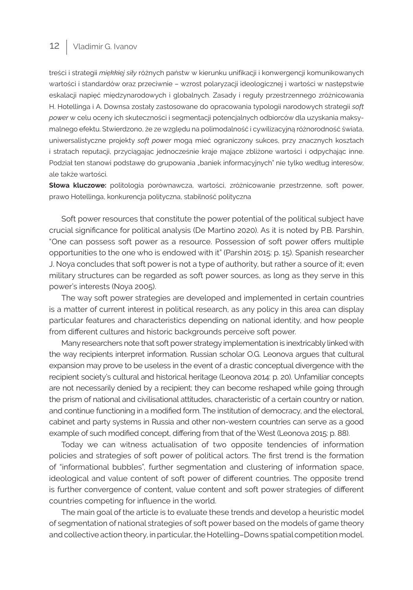## 12 | Vladimir G. Ivanov

treści i strategii *miękkiej siły* różnych państw w kierunku unifikacji i konwergencji komunikowanych wartości i standardów oraz przeciwnie – wzrost polaryzacji ideologicznej i wartości w następstwie eskalacji napięć międzynarodowych i globalnych. Zasady i reguły przestrzennego zróżnicowania H. Hotellinga i A. Downsa zostały zastosowane do opracowania typologii narodowych strategii *soft power* w celu oceny ich skuteczności i segmentacji potencjalnych odbiorców dla uzyskania maksymalnego efektu. Stwierdzono, że ze względu na polimodalność i cywilizacyjną różnorodność świata, uniwersalistyczne projekty *soft power* mogą mieć ograniczony sukces, przy znacznych kosztach i stratach reputacji, przyciągając jednocześnie kraje mające zbliżone wartości i odpychając inne. Podział ten stanowi podstawę do grupowania "baniek informacyjnych" nie tylko według interesów, ale także wartości.

**Słowa kluczowe:** politologia porównawcza, wartości, zróżnicowanie przestrzenne, soft power, prawo Hotellinga, konkurencja polityczna, stabilność polityczna

Soft power resources that constitute the power potential of the political subject have crucial significance for political analysis (De Martino 2020). As it is noted by P.B. Parshin, "One can possess soft power as a resource. Possession of soft power offers multiple opportunities to the one who is endowed with it" (Parshin 2015: p. 15). Spanish researcher J. Noya concludes that soft power is not a type of authority, but rather a source of it; even military structures can be regarded as soft power sources, as long as they serve in this power's interests (Noya 2005).

The way soft power strategies are developed and implemented in certain countries is a matter of current interest in political research, as any policy in this area can display particular features and characteristics depending on national identity, and how people from different cultures and historic backgrounds perceive soft power.

Many researchers note that soft power strategy implementation is inextricably linked with the way recipients interpret information. Russian scholar O.G. Leonova argues that cultural expansion may prove to be useless in the event of a drastic conceptual divergence with the recipient society's cultural and historical heritage (Leonova 2014: p. 20). Unfamiliar concepts are not necessarily denied by a recipient; they can become reshaped while going through the prism of national and civilisational attitudes, characteristic of a certain country or nation, and continue functioning in a modified form. The institution of democracy, and the electoral, cabinet and party systems in Russia and other non-western countries can serve as a good example of such modified concept, differing from that of the West (Leonova 2015: p. 88).

Today we can witness actualisation of two opposite tendencies of information policies and strategies of soft power of political actors. The first trend is the formation of "informational bubbles", further segmentation and clustering of information space, ideological and value content of soft power of different countries. The opposite trend is further convergence of content, value content and soft power strategies of different countries competing for influence in the world.

The main goal of the article is to evaluate these trends and develop a heuristic model of segmentation of national strategies of soft power based on the models of game theory and collective action theory, in particular, the Hotelling–Downs spatial competition model.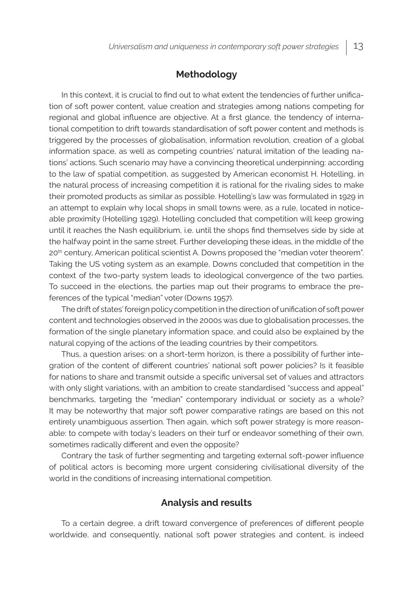## **Methodology**

In this context, it is crucial to find out to what extent the tendencies of further unification of soft power content, value creation and strategies among nations competing for regional and global influence are objective. At a first glance, the tendency of international competition to drift towards standardisation of soft power content and methods is triggered by the processes of globalisation, information revolution, creation of a global information space, as well as competing countries' natural imitation of the leading nations' actions. Such scenario may have a convincing theoretical underpinning: according to the law of spatial competition, as suggested by American economist H. Hotelling, in the natural process of increasing competition it is rational for the rivaling sides to make their promoted products as similar as possible. Hotelling's law was formulated in 1929 in an attempt to explain why local shops in small towns were, as a rule, located in noticeable proximity (Hotelling 1929). Hotelling concluded that competition will keep growing until it reaches the Nash equilibrium, i.e. until the shops find themselves side by side at the halfway point in the same street. Further developing these ideas, in the middle of the 20th century, American political scientist A. Downs proposed the "median voter theorem". Taking the US voting system as an example, Downs concluded that competition in the context of the two-party system leads to ideological convergence of the two parties. To succeed in the elections, the parties map out their programs to embrace the preferences of the typical "median" voter (Downs 1957).

The drift of states' foreign policy competition in the direction of unification of soft power content and technologies observed in the 2000s was due to globalisation processes, the formation of the single planetary information space, and could also be explained by the natural copying of the actions of the leading countries by their competitors.

Thus, a question arises: on a short-term horizon, is there a possibility of further integration of the content of different countries' national soft power policies? Is it feasible for nations to share and transmit outside a specific universal set of values and attractors with only slight variations, with an ambition to create standardised "success and appeal" benchmarks, targeting the "median" contemporary individual or society as a whole? It may be noteworthy that major soft power comparative ratings are based on this not entirely unambiguous assertion. Then again, which soft power strategy is more reasonable: to compete with today's leaders on their turf or endeavor something of their own, sometimes radically different and even the opposite?

Contrary the task of further segmenting and targeting external soft-power influence of political actors is becoming more urgent considering civilisational diversity of the world in the conditions of increasing international competition.

## **Analysis and results**

To a certain degree, a drift toward convergence of preferences of different people worldwide, and consequently, national soft power strategies and content, is indeed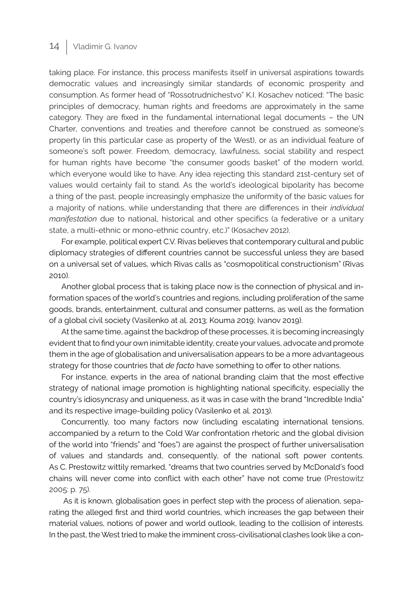## 14 | Vladimir G. Ivanov

taking place. For instance, this process manifests itself in universal aspirations towards democratic values and increasingly similar standards of economic prosperity and consumption. As former head of "Rossotrudnichestvo" K.I. Kosachev noticed: "The basic principles of democracy, human rights and freedoms are approximately in the same category. They are fixed in the fundamental international legal documents – the UN Charter, conventions and treaties and therefore cannot be construed as someone's property (in this particular case as property of the West), or as an individual feature of someone's soft power. Freedom, democracy, lawfulness, social stability and respect for human rights have become "the consumer goods basket" of the modern world, which everyone would like to have. Any idea rejecting this standard 21st-century set of values would certainly fail to stand. As the world's ideological bipolarity has become a thing of the past, people increasingly emphasize the uniformity of the basic values for a majority of nations, while understanding that there are differences in their *individual manifestation* due to national, historical and other specifics (a federative or a unitary state, a multi-ethnic or mono-ethnic country, etc.)" (Kosachev 2012).

For example, political expert C.V. Rivas believes that contemporary cultural and public diplomacy strategies of different countries cannot be successful unless they are based on a universal set of values, which Rivas calls as "cosmopolitical constructionism" (Rivas 2010).

Another global process that is taking place now is the connection of physical and information spaces of the world's countries and regions, including proliferation of the same goods, brands, entertainment, cultural and consumer patterns, as well as the formation of a global civil society (Vasilenko at al. 2013; Kouma 2019; Ivanov 2019).

At the same time, against the backdrop of these processes, it is becoming increasingly evident that to find your own inimitable identity, create your values, advocate and promote them in the age of globalisation and universalisation appears to be a more advantageous strategy for those countries that *de facto* have something to offer to other nations.

For instance, experts in the area of national branding claim that the most effective strategy of national image promotion is highlighting national specificity, especially the country's idiosyncrasy and uniqueness, as it was in case with the brand "Incredible India" and its respective image-building policy (Vasilenko et al. 2013).

Concurrently, too many factors now (including escalating international tensions, accompanied by a return to the Cold War confrontation rhetoric and the global division of the world into "friends" and "foes") are against the prospect of further universalisation of values and standards and, consequently, of the national soft power contents. As C. Prestowitz wittily remarked, "dreams that two countries served by McDonald's food chains will never come into conflict with each other" have not come true (Prestowitz 2005: p. 75).

 As it is known, globalisation goes in perfect step with the process of alienation, separating the alleged first and third world countries, which increases the gap between their material values, notions of power and world outlook, leading to the collision of interests. In the past, the West tried to make the imminent cross-civilisational clashes look like a con-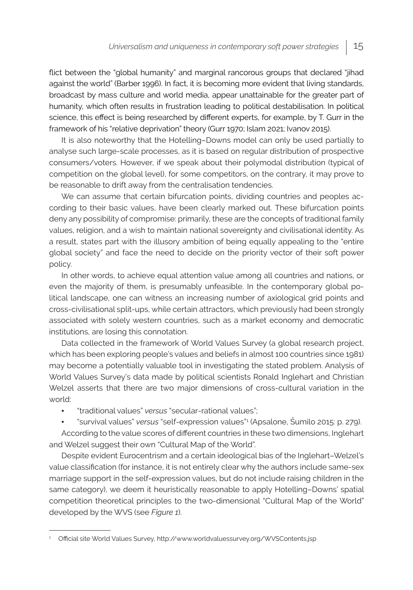flict between the "global humanity" and marginal rancorous groups that declared "jihad against the world" (Barber 1996). In fact, it is becoming more evident that living standards, broadcast by mass culture and world media, appear unattainable for the greater part of humanity, which often results in frustration leading to political destabilisation. In political science, this effect is being researched by different experts, for example, by T. Gurr in the framework of his "relative deprivation" theory (Gurr 1970; Islam 2021; Ivanov 2015).

It is also noteworthy that the Hotelling–Downs model can only be used partially to analyse such large-scale processes, as it is based on regular distribution of prospective consumers/voters. However, if we speak about their polymodal distribution (typical of competition on the global level), for some competitors, on the contrary, it may prove to be reasonable to drift away from the centralisation tendencies.

We can assume that certain bifurcation points, dividing countries and peoples according to their basic values, have been clearly marked out. These bifurcation points deny any possibility of compromise: primarily, these are the concepts of traditional family values, religion, and a wish to maintain national sovereignty and civilisational identity. As a result, states part with the illusory ambition of being equally appealing to the "entire global society" and face the need to decide on the priority vector of their soft power policy.

In other words, to achieve equal attention value among all countries and nations, or even the majority of them, is presumably unfeasible. In the contemporary global political landscape, one can witness an increasing number of axiological grid points and cross-civilisational split-ups, while certain attractors, which previously had been strongly associated with solely western countries, such as a market economy and democratic institutions, are losing this connotation.

Data collected in the framework of World Values Survey (a global research project, which has been exploring people's values and beliefs in almost 100 countries since 1981) may become a potentially valuable tool in investigating the stated problem. Analysis of World Values Survey's data made by political scientists Ronald Inglehart and Christian Welzel asserts that there are two major dimensions of cross-cultural variation in the world:

- "traditional values" *versus* "secular-rational values";
- "survival values" *versus* "self-expression values"<sup>1</sup> (Apsalone, Šumilo 2015: p. 279).

According to the value scores of different countries in these two dimensions, Inglehart and Welzel suggest their own "Cultural Map of the World".

Despite evident Eurocentrism and a certain ideological bias of the Inglehart–Welzel's value classification (for instance, it is not entirely clear why the authors include same-sex marriage support in the self-expression values, but do not include raising children in the same category), we deem it heuristically reasonable to apply Hotelling–Downs' spatial competition theoretical principles to the two-dimensional "Cultural Map of the World" developed by the WVS (see *Figure 1*).

<sup>1</sup> Official site World Values Survey, http://www.worldvaluessurvey.org/WVSContents.jsp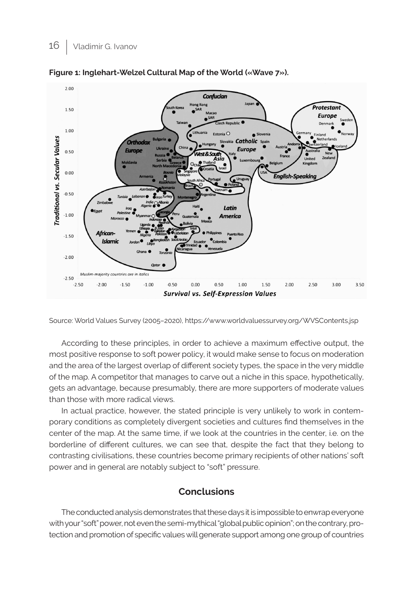

**Figure 1: Inglehart-Welzel Cultural Map of the World («Wave 7»).** 

Source: World Values Survey (2005–2020), https://www.worldvaluessurvey.org/WVSContents.jsp

According to these principles, in order to achieve a maximum effective output, the most positive response to soft power policy, it would make sense to focus on moderation and the area of the largest overlap of different society types, the space in the very middle of the map. A competitor that manages to carve out a niche in this space, hypothetically, gets an advantage, because presumably, there are more supporters of moderate values than those with more radical views.

In actual practice, however, the stated principle is very unlikely to work in contemporary conditions as completely divergent societies and cultures find themselves in the center of the map. At the same time, if we look at the countries in the center, i.e. on the borderline of different cultures, we can see that, despite the fact that they belong to contrasting civilisations, these countries become primary recipients of other nations' soft power and in general are notably subject to "soft" pressure.

# **Conclusions**

The conducted analysis demonstrates that these days it is impossible to enwrap everyone with your "soft" power, not even the semi-mythical "global public opinion"; on the contrary, protection and promotion of specific values will generate support among one group of countries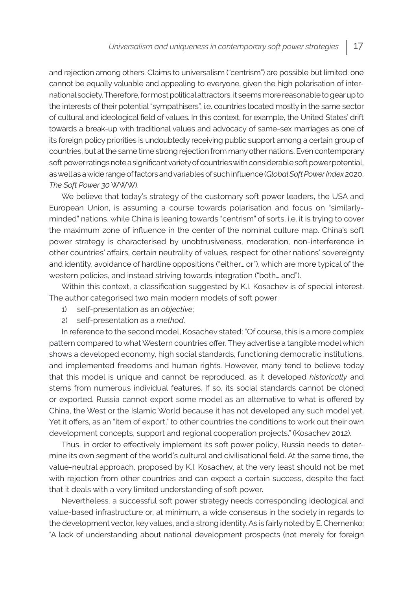and rejection among others. Claims to universalism ("centrism") are possible but limited: one cannot be equally valuable and appealing to everyone, given the high polarisation of international society. Therefore, for most political attractors, it seems more reasonable to gear up to the interests of their potential "sympathisers", i.e. countries located mostly in the same sector of cultural and ideological field of values. In this context, for example, the United States' drift towards a break-up with traditional values and advocacy of same-sex marriages as one of its foreign policy priorities is undoubtedly receiving public support among a certain group of countries, but at the same time strong rejection from many other nations. Even contemporary soft power ratings note a significant variety of countries with considerable soft power potential, as well as a wide range of factors and variables of such influence (*Global Soft Power Index* 2020, *The Soft Power 30* WWW).

We believe that today's strategy of the customary soft power leaders, the USA and European Union, is assuming a course towards polarisation and focus on "similarlyminded" nations, while China is leaning towards "centrism" of sorts, i.e. it is trying to cover the maximum zone of influence in the center of the nominal culture map. China's soft power strategy is characterised by unobtrusiveness, moderation, non-interference in other countries' affairs, certain neutrality of values, respect for other nations' sovereignty and identity, avoidance of hardline oppositions ("either… or"), which are more typical of the western policies, and instead striving towards integration ("both… and").

Within this context, a classification suggested by K.I. Kosachev is of special interest. The author categorised two main modern models of soft power:

- 1) self-presentation as an *objective*;
- 2) self-presentation as a *method*.

In reference to the second model, Kosachev stated: "Of course, this is a more complex pattern compared to what Western countries offer. They advertise a tangible model which shows a developed economy, high social standards, functioning democratic institutions, and implemented freedoms and human rights. However, many tend to believe today that this model is unique and cannot be reproduced, as it developed *historically* and stems from numerous individual features. If so, its social standards cannot be cloned or exported. Russia cannot export some model as an alternative to what is offered by China, the West or the Islamic World because it has not developed any such model yet. Yet it offers, as an "item of export," to other countries the conditions to work out their own development concepts, support and regional cooperation projects." (Kosachev 2012).

Thus, in order to effectively implement its soft power policy, Russia needs to determine its own segment of the world's cultural and civilisational field. At the same time, the value-neutral approach, proposed by K.I. Kosachev, at the very least should not be met with rejection from other countries and can expect a certain success, despite the fact that it deals with a very limited understanding of soft power.

Nevertheless, a successful soft power strategy needs corresponding ideological and value-based infrastructure or, at minimum, a wide consensus in the society in regards to the development vector, key values, and a strong identity. As is fairly noted by E. Chernenko: "A lack of understanding about national development prospects (not merely for foreign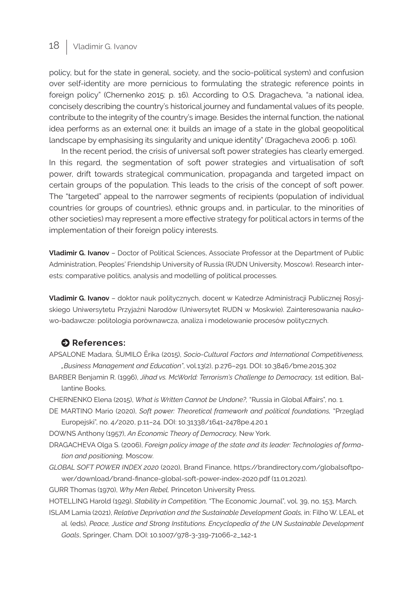# 18 | Vladimir G. Ivanov

policy, but for the state in general, society, and the socio-political system) and confusion over self-identity are more pernicious to formulating the strategic reference points in foreign policy" (Chernenko 2015: p. 16). According to O.S. Dragacheva, "a national idea, concisely describing the country's historical journey and fundamental values of its people, contribute to the integrity of the country's image. Besides the internal function, the national idea performs as an external one: it builds an image of a state in the global geopolitical landscape by emphasising its singularity and unique identity" (Dragacheva 2006: p. 106).

In the recent period, the crisis of universal soft power strategies has clearly emerged. In this regard, the segmentation of soft power strategies and virtualisation of soft power, drift towards strategical communication, propaganda and targeted impact on certain groups of the population. This leads to the crisis of the concept of soft power. The "targeted" appeal to the narrower segments of recipients (population of individual countries (or groups of countries), ethnic groups and, in particular, to the minorities of other societies) may represent a more effective strategy for political actors in terms of the implementation of their foreign policy interests.

**Vladimir G. Ivanov** – Doctor of Political Sciences, Associate Professor at the Department of Public Administration, Peoples' Friendship University of Russia (RUDN University, Moscow). Research interests: comparative politics, analysis and modelling of political processes.

**Vladimir G. Ivanov** – doktor nauk politycznych, docent w Katedrze Administracji Publicznej Rosyjskiego Uniwersytetu Przyjaźni Narodów (Uniwersytet RUDN w Moskwie). Zainteresowania naukowo-badawcze: politologia porównawcza, analiza i modelowanie procesów politycznych.

## **O** References:

- APSALONE Madara, ŠUMILO Ērika (2015), *Socio-Cultural Factors and International Competitiveness, "Business Management and Education"*, vol.13(2), p.276–291. DOI: 10.3846/bme.2015.302
- BARBER Benjamin R. (1996), *Jihad vs. McWorld: Terrorism's Challenge to Democracy,* 1st edition, Ballantine Books.
- CHERNENKO Elena (2015), *What is Written Cannot be Undone?,* "Russia in Global Affairs", no. 1.
- DE MARTINO Mario (2020), *Soft power: Theoretical framework and political foundations,* "Przegląd Europejski", no. 4/2020, p.11–24. DOI: 10.31338/1641-2478pe.4.20.1
- DOWNS Anthony (1957), *An Economic Theory of Democracy,* New York.
- DRAGACHEVA Olga S. (2006), *Foreign policy image of the state and its leader: Technologies of formation and positioning,* Moscow.
- *GLOBAL SOFT POWER INDEX 2020* (2020), Brand Finance, https://brandirectory.com/globalsoftpower/download/brand-finance-global-soft-power-index-2020.pdf (11.01.2021).

GURR Thomas (1970), *Why Men Rebel,* Princeton University Press.

HOTELLING Harold (1929), *Stability in Competition,* "The Economic Journal", vol. 39, no. 153, March.

ISLAM Lamia (2021), *Relative Deprivation and the Sustainable Development Goals,* in: Filho W. LEAL et al. (eds), *Peace, Justice and Strong Institutions. Encyclopedia of the UN Sustainable Development Goals*, Springer, Cham. DOI: 10.1007/978-3-319-71066-2\_142-1